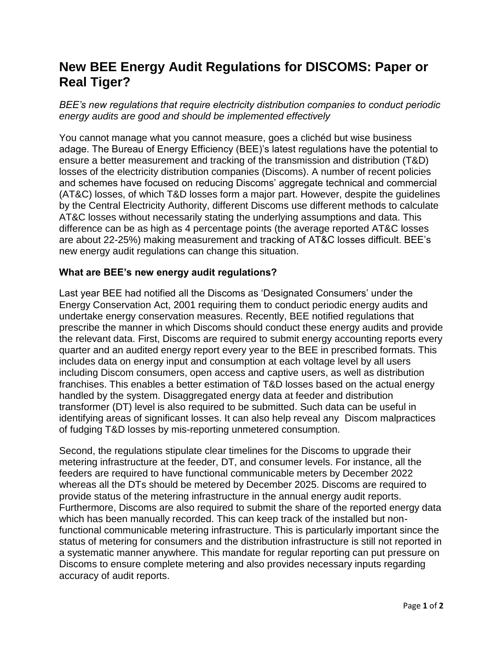## **New BEE Energy Audit Regulations for DISCOMS: Paper or Real Tiger?**

*BEE's new regulations that require electricity distribution companies to conduct periodic energy audits are good and should be implemented effectively*

You cannot manage what you cannot measure, goes a clichéd but wise business adage. The Bureau of Energy Efficiency (BEE)'s latest regulations have the potential to ensure a better measurement and tracking of the transmission and distribution (T&D) losses of the electricity distribution companies (Discoms). A number of recent policies and schemes have focused on reducing Discoms' aggregate technical and commercial (AT&C) losses, of which T&D losses form a major part. However, despite the guidelines by the Central Electricity Authority, different Discoms use different methods to calculate AT&C losses without necessarily stating the underlying assumptions and data. This difference can be as high as 4 percentage points (the average reported AT&C losses are about 22-25%) making measurement and tracking of AT&C losses difficult. BEE's new energy audit regulations can change this situation.

## **What are BEE's new energy audit regulations?**

Last year BEE had notified all the Discoms as 'Designated Consumers' under the Energy Conservation Act, 2001 requiring them to conduct periodic energy audits and undertake energy conservation measures. Recently, BEE notified regulations that prescribe the manner in which Discoms should conduct these energy audits and provide the relevant data. First, Discoms are required to submit energy accounting reports every quarter and an audited energy report every year to the BEE in prescribed formats. This includes data on energy input and consumption at each voltage level by all users including Discom consumers, open access and captive users, as well as distribution franchises. This enables a better estimation of T&D losses based on the actual energy handled by the system. Disaggregated energy data at feeder and distribution transformer (DT) level is also required to be submitted. Such data can be useful in identifying areas of significant losses. It can also help reveal any Discom malpractices of fudging T&D losses by mis-reporting unmetered consumption.

Second, the regulations stipulate clear timelines for the Discoms to upgrade their metering infrastructure at the feeder, DT, and consumer levels. For instance, all the feeders are required to have functional communicable meters by December 2022 whereas all the DTs should be metered by December 2025. Discoms are required to provide status of the metering infrastructure in the annual energy audit reports. Furthermore, Discoms are also required to submit the share of the reported energy data which has been manually recorded. This can keep track of the installed but nonfunctional communicable metering infrastructure. This is particularly important since the status of metering for consumers and the distribution infrastructure is still not reported in a systematic manner anywhere. This mandate for regular reporting can put pressure on Discoms to ensure complete metering and also provides necessary inputs regarding accuracy of audit reports.